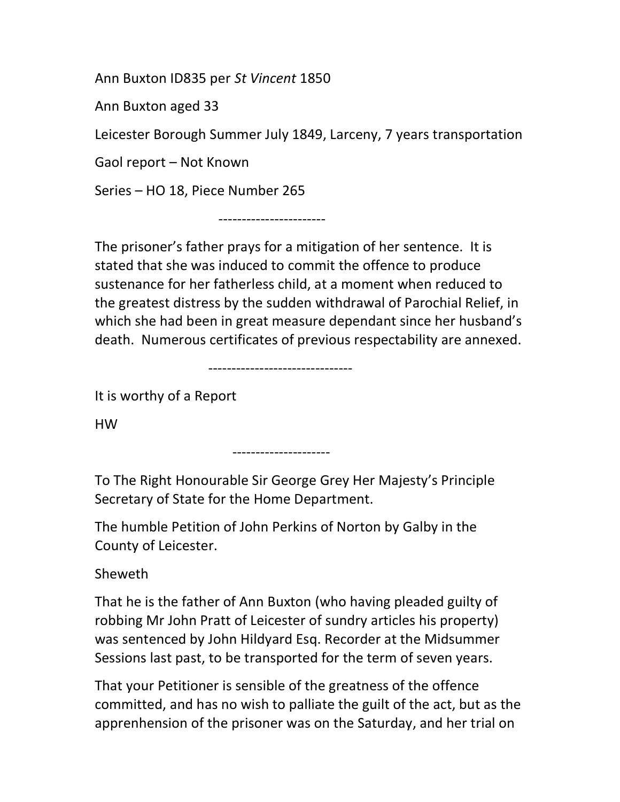Ann Buxton ID835 per St Vincent 1850

Ann Buxton aged 33

Leicester Borough Summer July 1849, Larceny, 7 years transportation

Gaol report – Not Known

Series – HO 18, Piece Number 265

-----------------------

The prisoner's father prays for a mitigation of her sentence. It is stated that she was induced to commit the offence to produce sustenance for her fatherless child, at a moment when reduced to the greatest distress by the sudden withdrawal of Parochial Relief, in which she had been in great measure dependant since her husband's death. Numerous certificates of previous respectability are annexed.

-------------------------------

It is worthy of a Report

HW

---------------------

To The Right Honourable Sir George Grey Her Majesty's Principle Secretary of State for the Home Department.

The humble Petition of John Perkins of Norton by Galby in the County of Leicester.

Sheweth

That he is the father of Ann Buxton (who having pleaded guilty of robbing Mr John Pratt of Leicester of sundry articles his property) was sentenced by John Hildyard Esq. Recorder at the Midsummer Sessions last past, to be transported for the term of seven years.

That your Petitioner is sensible of the greatness of the offence committed, and has no wish to palliate the guilt of the act, but as the apprenhension of the prisoner was on the Saturday, and her trial on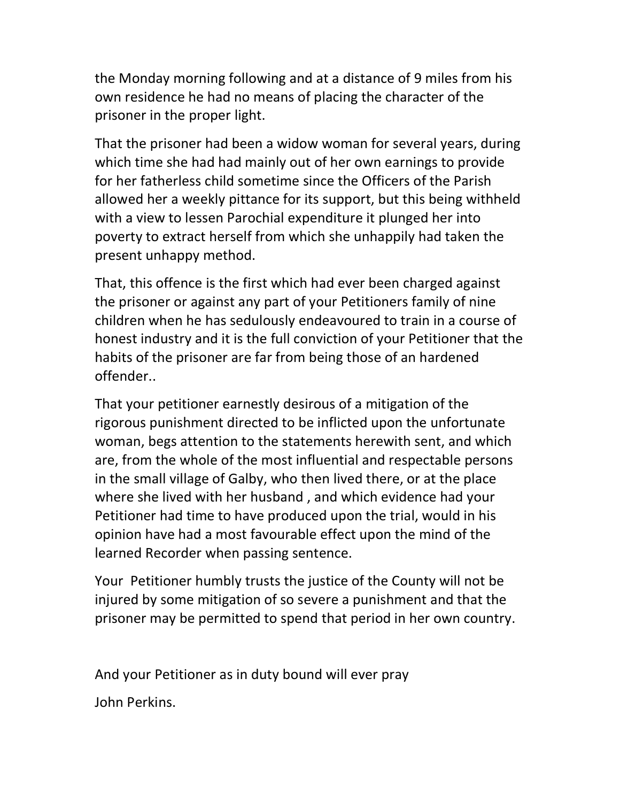the Monday morning following and at a distance of 9 miles from his own residence he had no means of placing the character of the prisoner in the proper light.

That the prisoner had been a widow woman for several years, during which time she had had mainly out of her own earnings to provide for her fatherless child sometime since the Officers of the Parish allowed her a weekly pittance for its support, but this being withheld with a view to lessen Parochial expenditure it plunged her into poverty to extract herself from which she unhappily had taken the present unhappy method.

That, this offence is the first which had ever been charged against the prisoner or against any part of your Petitioners family of nine children when he has sedulously endeavoured to train in a course of honest industry and it is the full conviction of your Petitioner that the habits of the prisoner are far from being those of an hardened offender..

That your petitioner earnestly desirous of a mitigation of the rigorous punishment directed to be inflicted upon the unfortunate woman, begs attention to the statements herewith sent, and which are, from the whole of the most influential and respectable persons in the small village of Galby, who then lived there, or at the place where she lived with her husband , and which evidence had your Petitioner had time to have produced upon the trial, would in his opinion have had a most favourable effect upon the mind of the learned Recorder when passing sentence.

Your Petitioner humbly trusts the justice of the County will not be injured by some mitigation of so severe a punishment and that the prisoner may be permitted to spend that period in her own country.

And your Petitioner as in duty bound will ever pray

John Perkins.